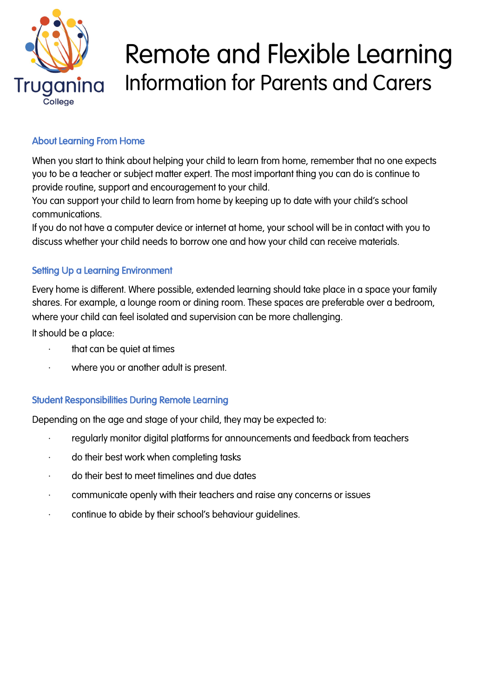

# Remote and Flexible Learning Information for Parents and Carers

# About Learning From Home

When you start to think about helping your child to learn from home, remember that no one expects you to be a teacher or subject matter expert. The most important thing you can do is continue to provide routine, support and encouragement to your child.

You can support your child to learn from home by keeping up to date with your child's school communications.

If you do not have a computer device or internet at home, your school will be in contact with you to discuss whether your child needs to borrow one and how your child can receive materials.

## Setting Up a Learning Environment

Every home is different. Where possible, extended learning should take place in a space your family shares. For example, a lounge room or dining room. These spaces are preferable over a bedroom, where your child can feel isolated and supervision can be more challenging.

It should be a place:

- $\cdot$  that can be quiet at times
- · where you or another adult is present.

## Student Responsibilities During Remote Learning

Depending on the age and stage of your child, they may be expected to:

- regularly monitor digital platforms for announcements and feedback from teachers
- · do their best work when completing tasks
- · do their best to meet timelines and due dates
- · communicate openly with their teachers and raise any concerns or issues
- · continue to abide by their school's behaviour guidelines.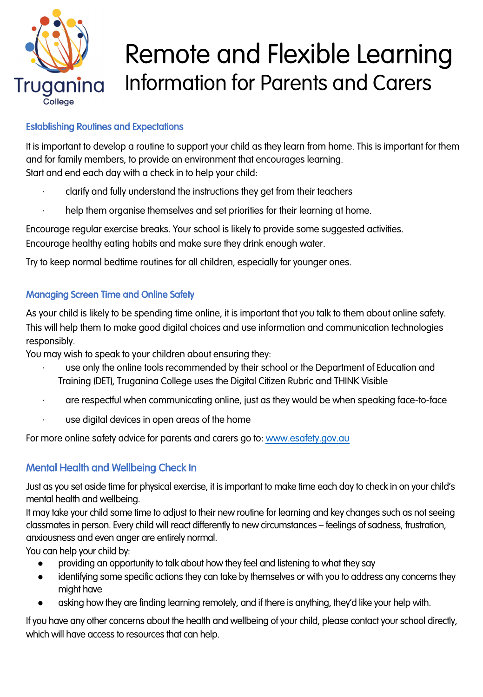

# Remote and Flexible Learning Information for Parents and Carers

# Establishing Routines and Expectations

It is important to develop a routine to support your child as they learn from home. This is important for them and for family members, to provide an environment that encourages learning. Start and end each day with a check in to help your child:

- · clarify and fully understand the instructions they get from their teachers
- help them organise themselves and set priorities for their learning at home.

Encourage regular exercise breaks. Your school is likely to provide some suggested activities. Encourage healthy eating habits and make sure they drink enough water.

Try to keep normal bedtime routines for all children, especially for younger ones.

## Managing Screen Time and Online Safety

As your child is likely to be spending time online, it is important that you talk to them about online safety. This will help them to make good digital choices and use information and communication technologies responsibly.

You may wish to speak to your children about ensuring they:

- use only the online tools recommended by their school or the Department of Education and Training (DET), Truganina College uses the Digital Citizen Rubric and THINK Visible
- · are respectful when communicating online, just as they would be when speaking face-to-face
- use digital devices in open areas of the home

For more online safety advice for parents and carers go to: [www.esafety.gov.au](http://www.esafety.gov.au/)

# Mental Health and Wellbeing Check In

Just as you set aside time for physical exercise, it is important to make time each day to check in on your child's mental health and wellbeing.

It may take your child some time to adjust to their new routine for learning and key changes such as not seeing classmates in person. Every child will react differently to new circumstances – feelings of sadness, frustration, anxiousness and even anger are entirely normal.

You can help your child by:

- providing an opportunity to talk about how they feel and listening to what they say
- identifying some specific actions they can take by themselves or with you to address any concerns they might have
- asking how they are finding learning remotely, and if there is anything, they'd like your help with.

If you have any other concerns about the health and wellbeing of your child, please contact your school directly, which will have access to resources that can help.